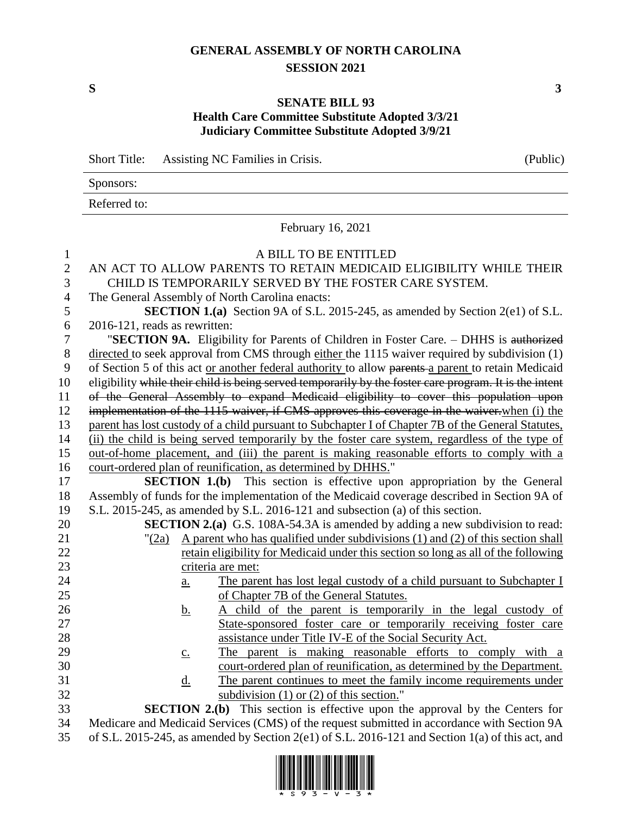## **GENERAL ASSEMBLY OF NORTH CAROLINA SESSION 2021**

**S 3**

## **SENATE BILL 93 Health Care Committee Substitute Adopted 3/3/21 Judiciary Committee Substitute Adopted 3/9/21**

|              | Assisting NC Families in Crisis.<br>(Public)<br><b>Short Title:</b>                                    |  |
|--------------|--------------------------------------------------------------------------------------------------------|--|
|              | Sponsors:                                                                                              |  |
|              | Referred to:                                                                                           |  |
|              | February 16, 2021                                                                                      |  |
| $\mathbf{1}$ | A BILL TO BE ENTITLED                                                                                  |  |
| $\mathbf{2}$ | AN ACT TO ALLOW PARENTS TO RETAIN MEDICAID ELIGIBILITY WHILE THEIR                                     |  |
| 3            | CHILD IS TEMPORARILY SERVED BY THE FOSTER CARE SYSTEM.                                                 |  |
| 4            | The General Assembly of North Carolina enacts:                                                         |  |
| 5            | <b>SECTION 1.(a)</b> Section 9A of S.L. 2015-245, as amended by Section 2(e1) of S.L.                  |  |
| 6            | 2016-121, reads as rewritten:                                                                          |  |
| 7            | "SECTION 9A. Eligibility for Parents of Children in Foster Care. - DHHS is authorized                  |  |
| $8\,$        | directed to seek approval from CMS through either the 1115 waiver required by subdivision (1)          |  |
| 9            | of Section 5 of this act or another federal authority to allow parents a parent to retain Medicaid     |  |
| 10           | eligibility while their child is being served temporarily by the foster care program. It is the intent |  |
| 11           | of the General Assembly to expand Medicaid eligibility to cover this population upon                   |  |
| 12           | implementation of the 1115 waiver, if CMS approves this coverage in the waiver when (i) the            |  |
| 13           | parent has lost custody of a child pursuant to Subchapter I of Chapter 7B of the General Statutes,     |  |
| 14           | (ii) the child is being served temporarily by the foster care system, regardless of the type of        |  |
| 15           | out-of-home placement, and (iii) the parent is making reasonable efforts to comply with a              |  |
| 16           | court-ordered plan of reunification, as determined by DHHS."                                           |  |
| 17           | <b>SECTION 1.(b)</b> This section is effective upon appropriation by the General                       |  |
| 18           | Assembly of funds for the implementation of the Medicaid coverage described in Section 9A of           |  |
| 19           | S.L. 2015-245, as amended by S.L. 2016-121 and subsection (a) of this section.                         |  |
| 20           | <b>SECTION 2.(a)</b> G.S. 108A-54.3A is amended by adding a new subdivision to read:                   |  |
| 21           | A parent who has qualified under subdivisions (1) and (2) of this section shall<br>"(2a)               |  |
| 22           | retain eligibility for Medicaid under this section so long as all of the following                     |  |
| 23           | criteria are met:                                                                                      |  |
| 24           | The parent has lost legal custody of a child pursuant to Subchapter I<br>$\underline{a}$ .             |  |
| 25           | of Chapter 7B of the General Statutes.                                                                 |  |
| 26           | A child of the parent is temporarily in the legal custody of<br><u>b.</u>                              |  |
| 27           | State-sponsored foster care or temporarily receiving foster care                                       |  |
| 28           | assistance under Title IV-E of the Social Security Act.                                                |  |
| 29           | The parent is making reasonable efforts to comply with a<br>$\underline{c}$ .                          |  |
| 30           | court-ordered plan of reunification, as determined by the Department.                                  |  |
| 31           | The parent continues to meet the family income requirements under<br><u>d.</u>                         |  |
| 32           | subdivision $(1)$ or $(2)$ of this section."                                                           |  |
| 33           | <b>SECTION 2.(b)</b> This section is effective upon the approval by the Centers for                    |  |
| 34           | Medicare and Medicaid Services (CMS) of the request submitted in accordance with Section 9A            |  |
| 35           | of S.L. 2015-245, as amended by Section 2(e1) of S.L. 2016-121 and Section 1(a) of this act, and       |  |